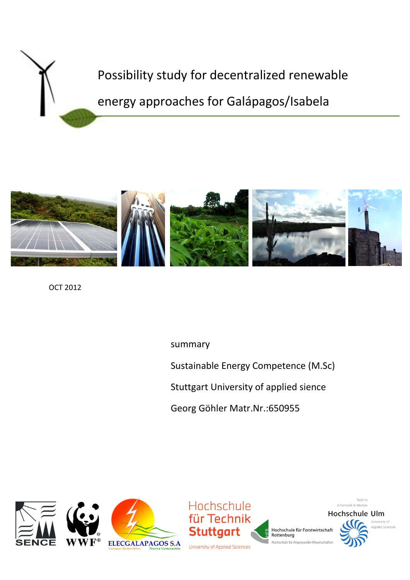



OCT 2012

summary

Sustainable Energy Competence (M.Sc)

Stuttgart University of applied sience

Georg Göhler Matr.Nr.:650955





Hochschule für Forstwirtschaft Rottenburg Hochschule für Angewandte Wiss



Technik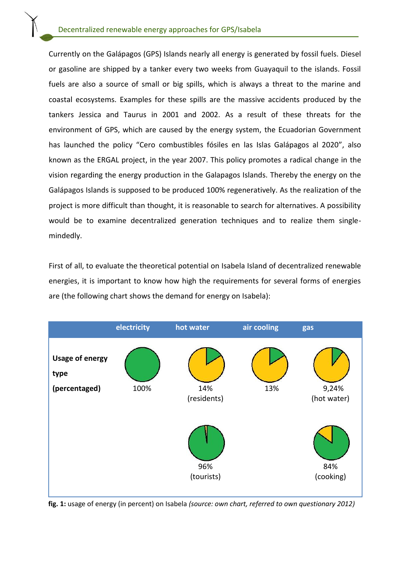Currently on the Galápagos (GPS) Islands nearly all energy is generated by fossil fuels. Diesel or gasoline are shipped by a tanker every two weeks from Guayaquil to the islands. Fossil fuels are also a source of small or big spills, which is always a threat to the marine and coastal ecosystems. Examples for these spills are the massive accidents produced by the tankers Jessica and Taurus in 2001 and 2002. As a result of these threats for the environment of GPS, which are caused by the energy system, the Ecuadorian Government has launched the policy "Cero combustibles fósiles en las Islas Galápagos al 2020", also known as the ERGAL project, in the year 2007. This policy promotes a radical change in the vision regarding the energy production in the Galapagos Islands. Thereby the energy on the Galápagos Islands is supposed to be produced 100% regeneratively. As the realization of the project is more difficult than thought, it is reasonable to search for alternatives. A possibility would be to examine decentralized generation techniques and to realize them singlemindedly.

First of all, to evaluate the theoretical potential on Isabela Island of decentralized renewable energies, it is important to know how high the requirements for several forms of energies are (the following chart shows the demand for energy on Isabela):



**fig. 1:** usage of energy (in percent) on Isabela *(source: own chart, referred to own questionary 2012)*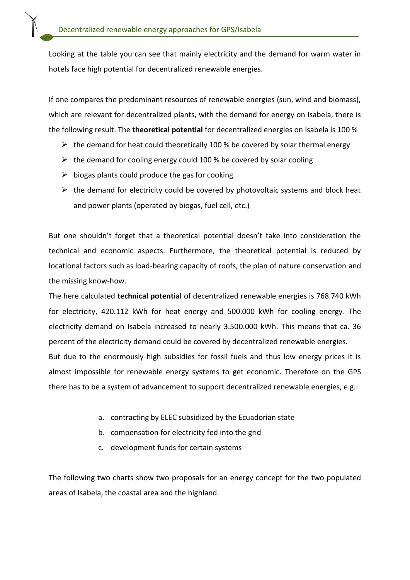Looking at the table you can see that mainly electricity and the demand for warm water in hotels face high potential for decentralized renewable energies.

If one compares the predominant resources of renewable energies (sun, wind and biomass), which are relevant for decentralized plants, with the demand for energy on Isabela, there is the following result. The **theoretical potential** for decentralized energies on Isabela is 100 %

- $\triangleright$  the demand for heat could theoretically 100 % be covered by solar thermal energy
- $\triangleright$  the demand for cooling energy could 100 % be covered by solar cooling
- $\triangleright$  biogas plants could produce the gas for cooking
- $\triangleright$  the demand for electricity could be covered by photovoltaic systems and block heat and power plants (operated by biogas, fuel cell, etc.)

But one shouldn't forget that a theoretical potential doesn't take into consideration the technical and economic aspects. Furthermore, the theoretical potential is reduced by locational factors such as load-bearing capacity of roofs, the plan of nature conservation and the missing know-how.

The here calculated **technical potential** of decentralized renewable energies is 768.740 kWh for electricity, 420.112 kWh for heat energy and 500.000 kWh for cooling energy. The electricity demand on Isabela increased to nearly 3.500.000 kWh. This means that ca. 36 percent of the electricity demand could be covered by decentralized renewable energies. But due to the enormously high subsidies for fossil fuels and thus low energy prices it is almost impossible for renewable energy systems to get economic. Therefore on the GPS there has to be a system of advancement to support decentralized renewable energies, e.g.:

- a. contracting by ELEC subsidized by the Ecuadorian state
- b. [compensation](http://dict.leo.org/ende?lp=ende&p=DOKJAA&search=compensation&trestr=0x801) [for](http://dict.leo.org/ende?lp=ende&p=DOKJAA&search=for&trestr=0x801) [electricity](http://dict.leo.org/ende?lp=ende&p=DOKJAA&search=electricity&trestr=0x801) [fed](http://dict.leo.org/ende?lp=ende&p=DOKJAA&search=fed&trestr=0x801) [into](http://dict.leo.org/ende?lp=ende&p=DOKJAA&search=into&trestr=0x801) [the](http://dict.leo.org/ende?lp=ende&p=DOKJAA&search=the&trestr=0x801) [grid](http://dict.leo.org/ende?lp=ende&p=DOKJAA&search=grid&trestr=0x801)
- c. development funds for certain systems

The following two charts show two proposals for an energy concept for the two populated areas of Isabela, the coastal area and the highland.